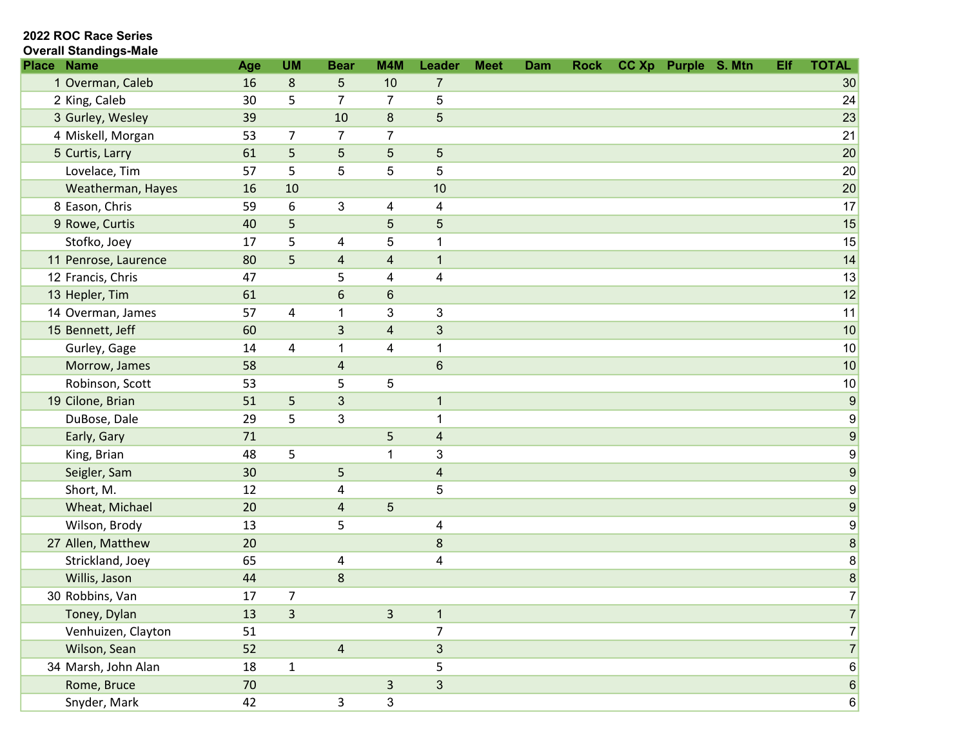#### Overall Standings-Male

| <b>Place Name</b>    | Age | <b>UM</b>        | <b>Bear</b>    | M4M                      | Leader                   | <b>Meet</b> | Dam | <b>Rock</b> | CC Xp Purple S. Mtn | Elf | <b>TOTAL</b>     |
|----------------------|-----|------------------|----------------|--------------------------|--------------------------|-------------|-----|-------------|---------------------|-----|------------------|
| 1 Overman, Caleb     | 16  | 8                | 5              | 10                       | 7                        |             |     |             |                     |     | 30               |
| 2 King, Caleb        | 30  | 5                | $\overline{7}$ | $\overline{7}$           | 5                        |             |     |             |                     |     | 24               |
| 3 Gurley, Wesley     | 39  |                  | 10             | 8                        | $\overline{5}$           |             |     |             |                     |     | 23               |
| 4 Miskell, Morgan    | 53  | $\overline{7}$   | 7              | 7                        |                          |             |     |             |                     |     | 21               |
| 5 Curtis, Larry      | 61  | 5                | 5              | $\sqrt{5}$               | $\overline{5}$           |             |     |             |                     |     | 20               |
| Lovelace, Tim        | 57  | 5                | 5              | 5                        | 5                        |             |     |             |                     |     | 20               |
| Weatherman, Hayes    | 16  | 10               |                |                          | 10                       |             |     |             |                     |     | 20               |
| 8 Eason, Chris       | 59  | $\boldsymbol{6}$ | $\sqrt{3}$     | 4                        | 4                        |             |     |             |                     |     | 17               |
| 9 Rowe, Curtis       | 40  | 5                |                | $\overline{5}$           | $\overline{5}$           |             |     |             |                     |     | 15               |
| Stofko, Joey         | 17  | 5                | $\overline{4}$ | 5                        | 1                        |             |     |             |                     |     | 15               |
| 11 Penrose, Laurence | 80  | 5                | $\overline{4}$ | $\overline{\mathcal{A}}$ | $\mathbf{1}$             |             |     |             |                     |     | 14               |
| 12 Francis, Chris    | 47  |                  | 5              | 4                        | 4                        |             |     |             |                     |     | 13               |
| 13 Hepler, Tim       | 61  |                  | 6              | 6                        |                          |             |     |             |                     |     | 12               |
| 14 Overman, James    | 57  | $\overline{a}$   | $\mathbf 1$    | 3                        | $\mathbf{3}$             |             |     |             |                     |     | 11               |
| 15 Bennett, Jeff     | 60  |                  | 3              | $\overline{\mathbf{4}}$  | $\mathbf{3}$             |             |     |             |                     |     | 10               |
| Gurley, Gage         | 14  | 4                | 1              | 4                        | 1                        |             |     |             |                     |     | 10               |
| Morrow, James        | 58  |                  | 4              |                          | $\,6$                    |             |     |             |                     |     | 10               |
| Robinson, Scott      | 53  |                  | 5              | 5                        |                          |             |     |             |                     |     | $10$             |
| 19 Cilone, Brian     | 51  | 5                | 3              |                          | $\mathbf{1}$             |             |     |             |                     |     | 9                |
| DuBose, Dale         | 29  | 5                | 3              |                          | 1                        |             |     |             |                     |     | $\boldsymbol{9}$ |
| Early, Gary          | 71  |                  |                | 5                        | $\overline{\mathbf{4}}$  |             |     |             |                     |     | $\boldsymbol{9}$ |
| King, Brian          | 48  | 5                |                | 1                        | 3                        |             |     |             |                     |     | $\boldsymbol{9}$ |
| Seigler, Sam         | 30  |                  | 5              |                          | $\overline{\mathcal{A}}$ |             |     |             |                     |     | $\boldsymbol{9}$ |
| Short, M.            | 12  |                  | 4              |                          | 5                        |             |     |             |                     |     | $\boldsymbol{9}$ |
| Wheat, Michael       | 20  |                  | $\overline{a}$ | $\overline{5}$           |                          |             |     |             |                     |     | $\boldsymbol{9}$ |
| Wilson, Brody        | 13  |                  | 5              |                          | 4                        |             |     |             |                     |     | $\boldsymbol{9}$ |
| 27 Allen, Matthew    | 20  |                  |                |                          | $\bf 8$                  |             |     |             |                     |     | 8 <sup>1</sup>   |
| Strickland, Joey     | 65  |                  | 4              |                          | 4                        |             |     |             |                     |     | $\bf 8$          |
| Willis, Jason        | 44  |                  | $\bf 8$        |                          |                          |             |     |             |                     |     | $\bf{8}$         |
| 30 Robbins, Van      | 17  | $\overline{7}$   |                |                          |                          |             |     |             |                     |     | $\overline{7}$   |
| Toney, Dylan         | 13  | $\overline{3}$   |                | $\overline{3}$           | $\mathbf{1}$             |             |     |             |                     |     | $\overline{7}$   |
| Venhuizen, Clayton   | 51  |                  |                |                          | 7                        |             |     |             |                     |     | $\overline{7}$   |
| Wilson, Sean         | 52  |                  | $\overline{4}$ |                          | $\mathfrak{S}$           |             |     |             |                     |     | 7                |
| 34 Marsh, John Alan  | 18  | $\mathbf 1$      |                |                          | 5                        |             |     |             |                     |     | 6                |
| Rome, Bruce          | 70  |                  |                | 3                        | $\mathfrak{Z}$           |             |     |             |                     |     | 6                |
| Snyder, Mark         | 42  |                  | $\mathbf{3}$   | 3                        |                          |             |     |             |                     |     | 6                |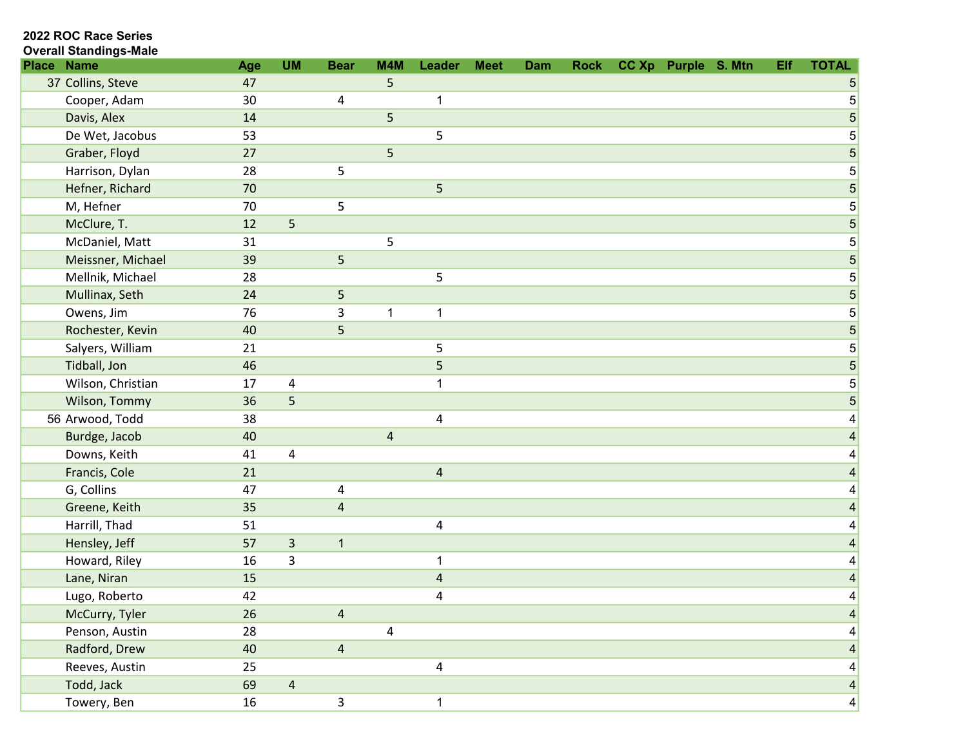| <b>Overall Standings-Male</b> |
|-------------------------------|
|                               |

| <b>Place</b> | <b>Name</b>       | Age    | <b>UM</b>      | <b>Bear</b>    | M4M            | Leader                  | <b>Meet</b> | Dam | <b>Rock</b> | CC Xp Purple S. Mtn | Elf | <b>TOTAL</b>    |
|--------------|-------------------|--------|----------------|----------------|----------------|-------------------------|-------------|-----|-------------|---------------------|-----|-----------------|
|              | 37 Collins, Steve | 47     |                |                | 5              |                         |             |     |             |                     |     | 5               |
|              | Cooper, Adam      | 30     |                | 4              |                | 1                       |             |     |             |                     |     | $\mathbf 5$     |
|              | Davis, Alex       | 14     |                |                | 5              |                         |             |     |             |                     |     | 5               |
|              | De Wet, Jacobus   | 53     |                |                |                | 5                       |             |     |             |                     |     | $\mathbf 5$     |
|              | Graber, Floyd     | 27     |                |                | 5              |                         |             |     |             |                     |     | 5               |
|              | Harrison, Dylan   | 28     |                | 5              |                |                         |             |     |             |                     |     | $\mathbf 5$     |
|              | Hefner, Richard   | 70     |                |                |                | 5                       |             |     |             |                     |     | $\overline{5}$  |
|              | M, Hefner         | 70     |                | 5              |                |                         |             |     |             |                     |     | $\mathbf 5$     |
|              | McClure, T.       | 12     | 5              |                |                |                         |             |     |             |                     |     | $\overline{5}$  |
|              | McDaniel, Matt    | 31     |                |                | 5              |                         |             |     |             |                     |     | $\mathbf 5$     |
|              | Meissner, Michael | 39     |                | 5              |                |                         |             |     |             |                     |     | $\overline{5}$  |
|              | Mellnik, Michael  | 28     |                |                |                | 5                       |             |     |             |                     |     | $\mathbf 5$     |
|              | Mullinax, Seth    | 24     |                | 5              |                |                         |             |     |             |                     |     | $\sqrt{5}$      |
|              | Owens, Jim        | 76     |                | 3              | 1              | $\mathbf 1$             |             |     |             |                     |     | $\mathbf 5$     |
|              | Rochester, Kevin  | 40     |                | 5              |                |                         |             |     |             |                     |     | $\mathbf 5$     |
|              | Salyers, William  | 21     |                |                |                | 5                       |             |     |             |                     |     | $\mathbf 5$     |
|              | Tidball, Jon      | 46     |                |                |                | 5                       |             |     |             |                     |     | $\mathbf 5$     |
|              | Wilson, Christian | 17     | 4              |                |                | 1                       |             |     |             |                     |     | $\mathbf 5$     |
|              | Wilson, Tommy     | 36     | 5              |                |                |                         |             |     |             |                     |     | 5               |
|              | 56 Arwood, Todd   | 38     |                |                |                | 4                       |             |     |             |                     |     | 4               |
|              | Burdge, Jacob     | 40     |                |                | $\overline{4}$ |                         |             |     |             |                     |     | $\overline{4}$  |
|              | Downs, Keith      | 41     | 4              |                |                |                         |             |     |             |                     |     | 4               |
|              | Francis, Cole     | 21     |                |                |                | $\overline{\mathbf{4}}$ |             |     |             |                     |     | 4               |
|              | G, Collins        | 47     |                | $\pmb{4}$      |                |                         |             |     |             |                     |     | 4               |
|              | Greene, Keith     | 35     |                | $\overline{a}$ |                |                         |             |     |             |                     |     | 4               |
|              | Harrill, Thad     | 51     |                |                |                | 4                       |             |     |             |                     |     | 4               |
|              | Hensley, Jeff     | 57     | $\mathsf 3$    | $\mathbf{1}$   |                |                         |             |     |             |                     |     | 4               |
|              | Howard, Riley     | 16     | 3              |                |                | 1                       |             |     |             |                     |     | 4               |
|              | Lane, Niran       | 15     |                |                |                | $\sqrt{4}$              |             |     |             |                     |     | 4               |
|              | Lugo, Roberto     | 42     |                |                |                | 4                       |             |     |             |                     |     | 4               |
|              | McCurry, Tyler    | 26     |                | $\overline{4}$ |                |                         |             |     |             |                     |     | $\vert 4 \vert$ |
|              | Penson, Austin    | 28     |                |                | 4              |                         |             |     |             |                     |     | $\vert 4 \vert$ |
|              | Radford, Drew     | 40     |                | $\overline{4}$ |                |                         |             |     |             |                     |     | $\vert 4 \vert$ |
|              | Reeves, Austin    | 25     |                |                |                | 4                       |             |     |             |                     |     | 4               |
|              | Todd, Jack        | 69     | $\overline{4}$ |                |                |                         |             |     |             |                     |     | $\vert 4 \vert$ |
|              | Towery, Ben       | $16\,$ |                | $\mathsf{3}$   |                | $\mathbf{1}$            |             |     |             |                     |     | 4               |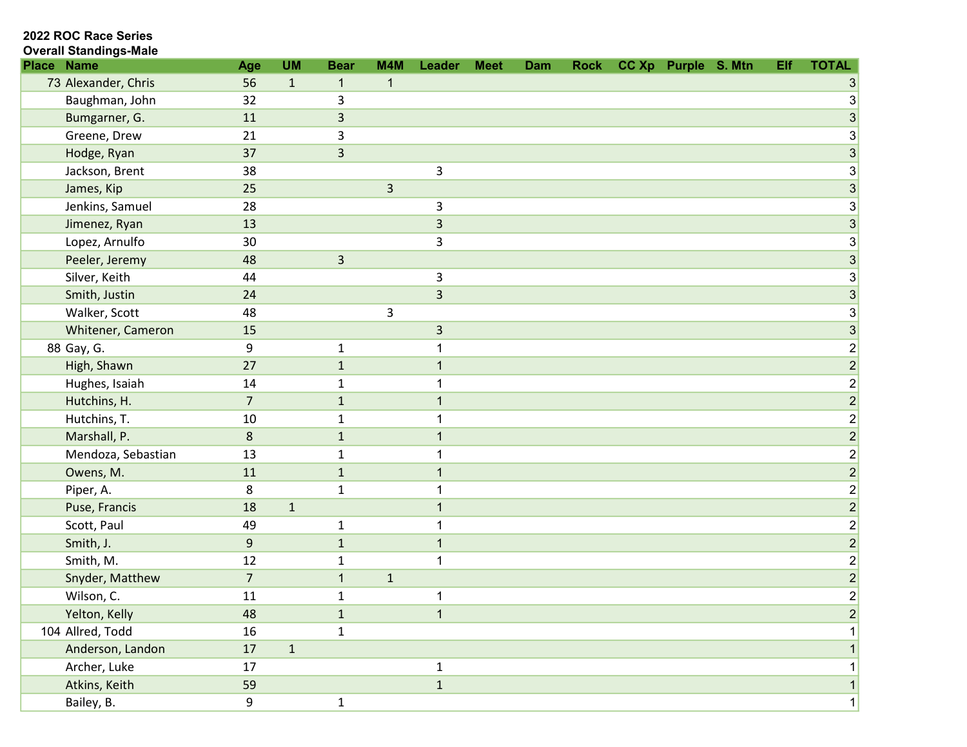#### 2022 ROC Race Series Overall Standings-Male

| <b>Name</b><br><b>Place</b> | Age              | <b>UM</b>    | <b>Bear</b>  | M4M         | Leader         | <b>Meet</b> | Dam | <b>Rock</b> | CC Xp Purple S. Mtn | Elf | <b>TOTAL</b>              |
|-----------------------------|------------------|--------------|--------------|-------------|----------------|-------------|-----|-------------|---------------------|-----|---------------------------|
| 73 Alexander, Chris         | 56               | $\mathbf{1}$ | $\mathbf{1}$ | $\mathbf 1$ |                |             |     |             |                     |     |                           |
| Baughman, John              | 32               |              | 3            |             |                |             |     |             |                     |     | $3\vert$                  |
| Bumgarner, G.               | 11               |              | 3            |             |                |             |     |             |                     |     | 3                         |
| Greene, Drew                | 21               |              | 3            |             |                |             |     |             |                     |     | 3                         |
| Hodge, Ryan                 | 37               |              | 3            |             |                |             |     |             |                     |     | 3                         |
| Jackson, Brent              | 38               |              |              |             | 3              |             |     |             |                     |     | $\ensuremath{\mathsf{3}}$ |
| James, Kip                  | 25               |              |              | 3           |                |             |     |             |                     |     | $\overline{3}$            |
| Jenkins, Samuel             | 28               |              |              |             | 3              |             |     |             |                     |     | 3                         |
| Jimenez, Ryan               | 13               |              |              |             | $\overline{3}$ |             |     |             |                     |     | 3                         |
| Lopez, Arnulfo              | 30               |              |              |             | 3              |             |     |             |                     |     | 3                         |
| Peeler, Jeremy              | 48               |              | 3            |             |                |             |     |             |                     |     | 3                         |
| Silver, Keith               | 44               |              |              |             | 3              |             |     |             |                     |     | $\ensuremath{\mathsf{3}}$ |
| Smith, Justin               | 24               |              |              |             | $\mathsf{3}$   |             |     |             |                     |     | $\overline{3}$            |
| Walker, Scott               | 48               |              |              | 3           |                |             |     |             |                     |     | 3                         |
| Whitener, Cameron           | 15               |              |              |             | $\overline{3}$ |             |     |             |                     |     | $\overline{3}$            |
| 88 Gay, G.                  | 9                |              | 1            |             | 1              |             |     |             |                     |     | $\mathbf{2}$              |
| High, Shawn                 | 27               |              | $\mathbf{1}$ |             | 1              |             |     |             |                     |     | $\overline{2}$            |
| Hughes, Isaiah              | 14               |              | 1            |             |                |             |     |             |                     |     | $\boldsymbol{2}$          |
| Hutchins, H.                | $\overline{7}$   |              | $\mathbf{1}$ |             | $\mathbf 1$    |             |     |             |                     |     | $\overline{2}$            |
| Hutchins, T.                | 10               |              | 1            |             | 1              |             |     |             |                     |     | $\mathbf{2}$              |
| Marshall, P.                | 8                |              | 1            |             | 1              |             |     |             |                     |     | $\overline{2}$            |
| Mendoza, Sebastian          | 13               |              | 1            |             | 1              |             |     |             |                     |     | $\vert 2 \vert$           |
| Owens, M.                   | 11               |              | $\mathbf{1}$ |             | 1              |             |     |             |                     |     | $\overline{2}$            |
| Piper, A.                   | 8                |              | $\mathbf{1}$ |             | 1              |             |     |             |                     |     | $\boldsymbol{2}$          |
| Puse, Francis               | 18               | $\mathbf 1$  |              |             | 1              |             |     |             |                     |     | $\overline{2}$            |
| Scott, Paul                 | 49               |              | 1            |             | 1              |             |     |             |                     |     | $\mathbf{2}$              |
| Smith, J.                   | $\boldsymbol{9}$ |              | $\mathbf{1}$ |             | $\mathbf{1}$   |             |     |             |                     |     | $\overline{2}$            |
| Smith, M.                   | 12               |              | 1            |             | 1              |             |     |             |                     |     | $\mathbf{2}$              |
| Snyder, Matthew             | $\overline{7}$   |              | $\mathbf{1}$ | $\mathbf 1$ |                |             |     |             |                     |     | $\overline{2}$            |
| Wilson, C.                  | 11               |              | $\mathbf 1$  |             | 1              |             |     |             |                     |     | $\overline{c}$            |
| Yelton, Kelly               | 48               |              | 1            |             | $\mathbf 1$    |             |     |             |                     |     | $\overline{2}$            |
| 104 Allred, Todd            | 16               |              | $\mathbf 1$  |             |                |             |     |             |                     |     |                           |
| Anderson, Landon            | $17\,$           | $\mathbf 1$  |              |             |                |             |     |             |                     |     |                           |
| Archer, Luke                | 17               |              |              |             | $\mathbf{1}$   |             |     |             |                     |     | $\mathbf{1}$              |
| Atkins, Keith               | 59               |              |              |             | $\mathbf{1}$   |             |     |             |                     |     |                           |
| Bailey, B.                  | $\boldsymbol{9}$ |              | $\mathbf{1}$ |             |                |             |     |             |                     |     | 1                         |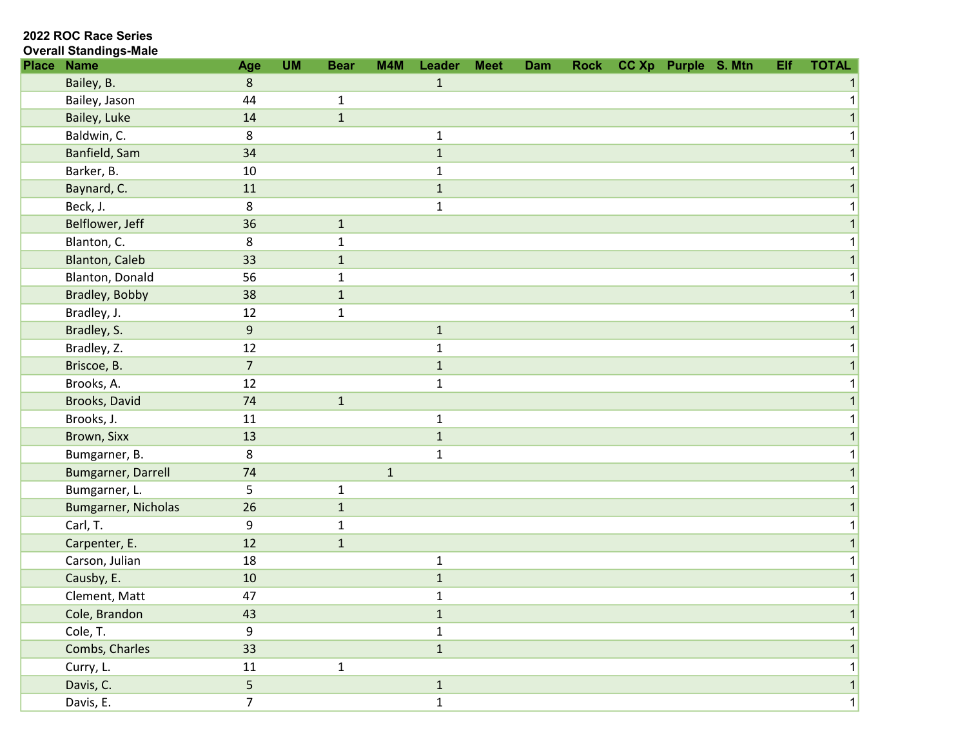| <b>Overall Standings-Male</b> |
|-------------------------------|
|                               |

| <b>Place</b> | <b>Name</b>           | Age              | <b>UM</b> | <b>Bear</b>  | M4M          | Leader       | <b>Meet</b> | Dam | <b>Rock</b> | CC Xp Purple S. Mtn | Elf | <b>TOTAL</b> |
|--------------|-----------------------|------------------|-----------|--------------|--------------|--------------|-------------|-----|-------------|---------------------|-----|--------------|
|              | Bailey, B.            | 8                |           |              |              | $\mathbf{1}$ |             |     |             |                     |     |              |
|              | Bailey, Jason         | 44               |           | $\mathbf{1}$ |              |              |             |     |             |                     |     |              |
|              | Bailey, Luke          | 14               |           | $\mathbf{1}$ |              |              |             |     |             |                     |     |              |
|              | Baldwin, C.           | 8                |           |              |              | $\mathbf{1}$ |             |     |             |                     |     |              |
|              | Banfield, Sam         | 34               |           |              |              | $\mathbf{1}$ |             |     |             |                     |     |              |
|              | Barker, B.            | 10               |           |              |              | 1            |             |     |             |                     |     |              |
|              | Baynard, C.           | 11               |           |              |              | $\mathbf 1$  |             |     |             |                     |     |              |
|              | Beck, J.              | 8                |           |              |              | $\mathbf{1}$ |             |     |             |                     |     |              |
|              | Belflower, Jeff       | 36               |           | $\mathbf{1}$ |              |              |             |     |             |                     |     |              |
|              | Blanton, C.           | 8                |           | 1            |              |              |             |     |             |                     |     |              |
|              | <b>Blanton, Caleb</b> | 33               |           | $\mathbf{1}$ |              |              |             |     |             |                     |     |              |
|              | Blanton, Donald       | 56               |           | $\mathbf{1}$ |              |              |             |     |             |                     |     |              |
|              | Bradley, Bobby        | 38               |           | $\mathbf{1}$ |              |              |             |     |             |                     |     |              |
|              | Bradley, J.           | 12               |           | $\mathbf{1}$ |              |              |             |     |             |                     |     |              |
|              | Bradley, S.           | $\boldsymbol{9}$ |           |              |              | $\mathbf{1}$ |             |     |             |                     |     |              |
|              | Bradley, Z.           | 12               |           |              |              | $\mathbf{1}$ |             |     |             |                     |     |              |
|              | Briscoe, B.           | $\overline{7}$   |           |              |              | $\mathbf{1}$ |             |     |             |                     |     |              |
|              | Brooks, A.            | 12               |           |              |              | $\mathbf{1}$ |             |     |             |                     |     |              |
|              | Brooks, David         | 74               |           | $\mathbf{1}$ |              |              |             |     |             |                     |     |              |
|              | Brooks, J.            | 11               |           |              |              | $\mathbf{1}$ |             |     |             |                     |     |              |
|              | Brown, Sixx           | 13               |           |              |              | $\mathbf{1}$ |             |     |             |                     |     |              |
|              | Bumgarner, B.         | 8                |           |              |              | $\mathbf{1}$ |             |     |             |                     |     |              |
|              | Bumgarner, Darrell    | 74               |           |              | $\mathbf{1}$ |              |             |     |             |                     |     |              |
|              | Bumgarner, L.         | 5                |           | $\mathbf{1}$ |              |              |             |     |             |                     |     |              |
|              | Bumgarner, Nicholas   | 26               |           | $\mathbf{1}$ |              |              |             |     |             |                     |     |              |
|              | Carl, T.              | 9                |           | $\mathbf{1}$ |              |              |             |     |             |                     |     |              |
|              | Carpenter, E.         | 12               |           | $1\,$        |              |              |             |     |             |                     |     |              |
|              | Carson, Julian        | 18               |           |              |              | $\mathbf{1}$ |             |     |             |                     |     |              |
|              | Causby, E.            | 10               |           |              |              | $\mathbf{1}$ |             |     |             |                     |     |              |
|              | Clement, Matt         | 47               |           |              |              | $\mathbf{1}$ |             |     |             |                     |     |              |
|              | Cole, Brandon         | 43               |           |              |              | $1\,$        |             |     |             |                     |     |              |
|              | Cole, T.              | 9                |           |              |              | $\mathbf{1}$ |             |     |             |                     |     |              |
|              | Combs, Charles        | 33               |           |              |              | $\mathbf{1}$ |             |     |             |                     |     |              |
|              | Curry, L.             | 11               |           | $\mathbf{1}$ |              |              |             |     |             |                     |     |              |
|              | Davis, C.             | 5                |           |              |              | $\mathbf{1}$ |             |     |             |                     |     | $\mathbf{1}$ |
|              | Davis, E.             | $\overline{7}$   |           |              |              | $\mathbf{1}$ |             |     |             |                     |     | 1            |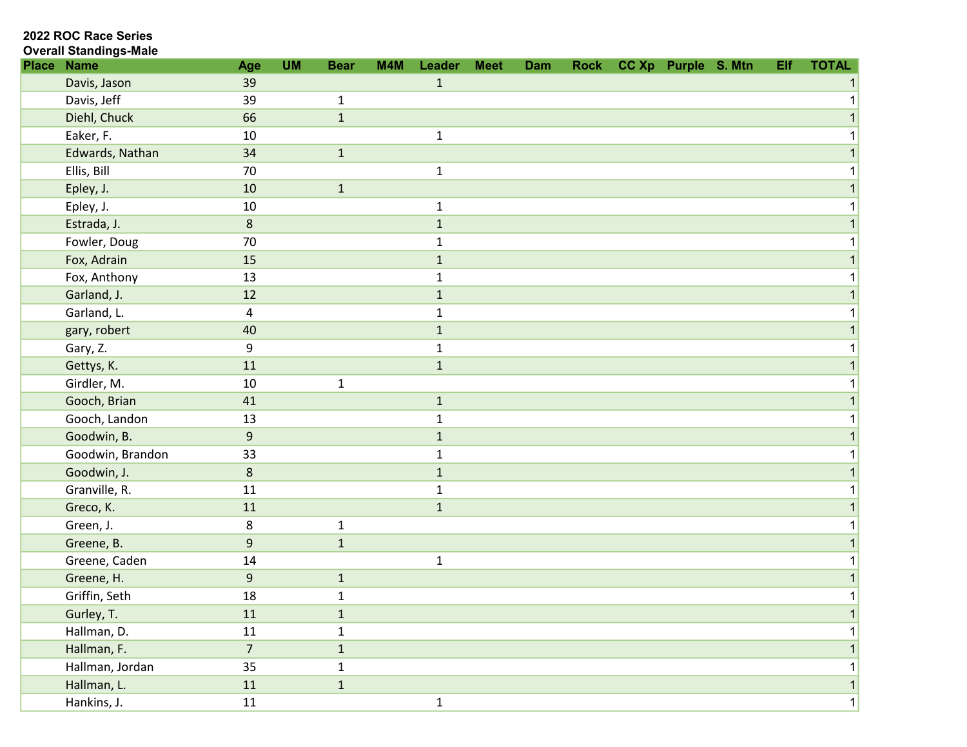| <b>Overall Standings-Male</b> |  |
|-------------------------------|--|
|                               |  |

| <b>Place Name</b> | Age                     | <b>UM</b> | <b>Bear</b>  | M4M | Leader       | <b>Meet</b> | Dam | <b>Rock</b> | CC Xp Purple S. Mtn | Elf | <b>TOTAL</b> |
|-------------------|-------------------------|-----------|--------------|-----|--------------|-------------|-----|-------------|---------------------|-----|--------------|
| Davis, Jason      | 39                      |           |              |     | $\mathbf{1}$ |             |     |             |                     |     |              |
| Davis, Jeff       | 39                      |           | $\mathbf{1}$ |     |              |             |     |             |                     |     |              |
| Diehl, Chuck      | 66                      |           | $1\,$        |     |              |             |     |             |                     |     |              |
| Eaker, F.         | 10                      |           |              |     | $\mathbf{1}$ |             |     |             |                     |     |              |
| Edwards, Nathan   | 34                      |           | $\mathbf 1$  |     |              |             |     |             |                     |     |              |
| Ellis, Bill       | 70                      |           |              |     | $\mathbf{1}$ |             |     |             |                     |     |              |
| Epley, J.         | 10                      |           | $\mathbf{1}$ |     |              |             |     |             |                     |     |              |
| Epley, J.         | 10                      |           |              |     | $\mathbf{1}$ |             |     |             |                     |     |              |
| Estrada, J.       | $\bf 8$                 |           |              |     | $\mathbf{1}$ |             |     |             |                     |     |              |
| Fowler, Doug      | 70                      |           |              |     | $\mathbf{1}$ |             |     |             |                     |     |              |
| Fox, Adrain       | 15                      |           |              |     | $\mathbf{1}$ |             |     |             |                     |     |              |
| Fox, Anthony      | 13                      |           |              |     | $\mathbf{1}$ |             |     |             |                     |     |              |
| Garland, J.       | 12                      |           |              |     | $\mathbf{1}$ |             |     |             |                     |     |              |
| Garland, L.       | $\overline{\mathbf{4}}$ |           |              |     | $\mathbf{1}$ |             |     |             |                     |     |              |
| gary, robert      | 40                      |           |              |     | $\mathbf 1$  |             |     |             |                     |     |              |
| Gary, Z.          | $\boldsymbol{9}$        |           |              |     | $\mathbf{1}$ |             |     |             |                     |     |              |
| Gettys, K.        | 11                      |           |              |     | $\mathbf 1$  |             |     |             |                     |     |              |
| Girdler, M.       | 10                      |           | $\mathbf 1$  |     |              |             |     |             |                     |     |              |
| Gooch, Brian      | 41                      |           |              |     | $\mathbf 1$  |             |     |             |                     |     |              |
| Gooch, Landon     | 13                      |           |              |     | $\mathbf{1}$ |             |     |             |                     |     |              |
| Goodwin, B.       | $9\,$                   |           |              |     | $\mathbf{1}$ |             |     |             |                     |     |              |
| Goodwin, Brandon  | 33                      |           |              |     | $\mathbf{1}$ |             |     |             |                     |     |              |
| Goodwin, J.       | $\bf 8$                 |           |              |     | $\mathbf{1}$ |             |     |             |                     |     |              |
| Granville, R.     | 11                      |           |              |     | $\mathbf{1}$ |             |     |             |                     |     |              |
| Greco, K.         | 11                      |           |              |     | $\mathbf 1$  |             |     |             |                     |     |              |
| Green, J.         | 8                       |           | $\mathbf{1}$ |     |              |             |     |             |                     |     |              |
| Greene, B.        | $\boldsymbol{9}$        |           | $1\,$        |     |              |             |     |             |                     |     |              |
| Greene, Caden     | $14\,$                  |           |              |     | $\mathbf{1}$ |             |     |             |                     |     |              |
| Greene, H.        | $\mathsf 9$             |           | $\mathbf 1$  |     |              |             |     |             |                     |     |              |
| Griffin, Seth     | 18                      |           | $\mathbf{1}$ |     |              |             |     |             |                     |     |              |
| Gurley, T.        | 11                      |           | $\mathbf 1$  |     |              |             |     |             |                     |     |              |
| Hallman, D.       | 11                      |           | $\mathbf{1}$ |     |              |             |     |             |                     |     |              |
| Hallman, F.       | $\overline{7}$          |           | $\mathbf{1}$ |     |              |             |     |             |                     |     |              |
| Hallman, Jordan   | 35                      |           | $\mathbf{1}$ |     |              |             |     |             |                     |     |              |
| Hallman, L.       | $11\,$                  |           | $\mathbf 1$  |     |              |             |     |             |                     |     | $\mathbf{1}$ |
| Hankins, J.       | $11\,$                  |           |              |     | $\mathbf{1}$ |             |     |             |                     |     | 1            |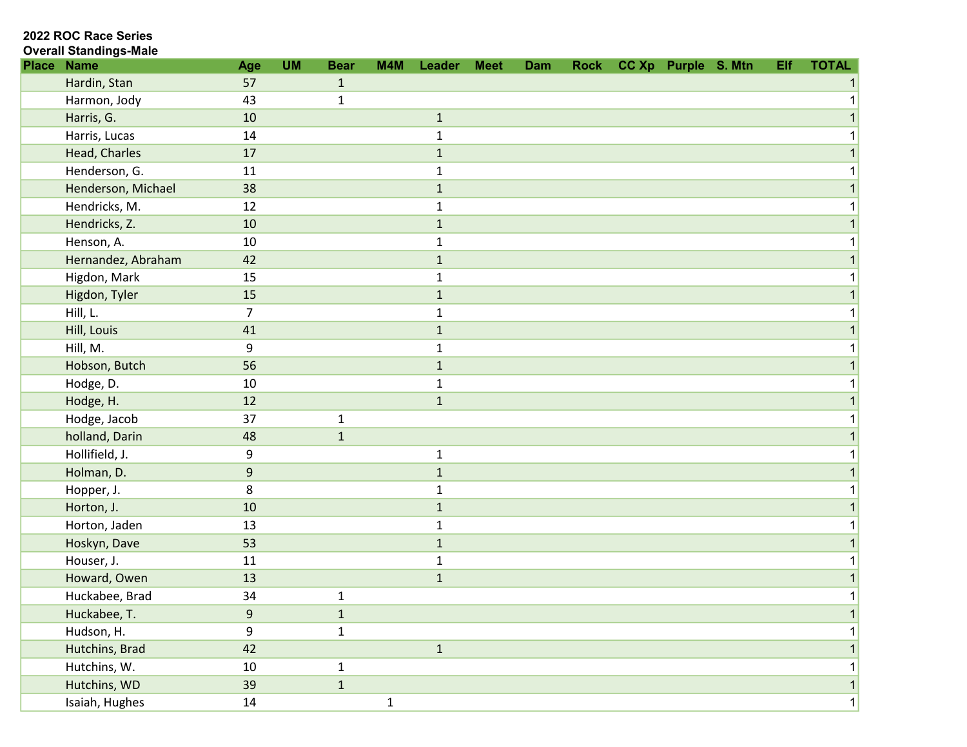| <b>Overall Standings-Male</b> |
|-------------------------------|
|                               |

| <b>Place</b> | <b>Name</b>        | Age              | <b>UM</b> | <b>Bear</b>  | M4M          | Leader       | <b>Meet</b> | <b>Dam</b> | <b>Rock</b> | CC Xp Purple S. Mtn | Elf | <b>TOTAL</b> |
|--------------|--------------------|------------------|-----------|--------------|--------------|--------------|-------------|------------|-------------|---------------------|-----|--------------|
|              | Hardin, Stan       | 57               |           | $\mathbf{1}$ |              |              |             |            |             |                     |     |              |
|              | Harmon, Jody       | 43               |           | $\mathbf{1}$ |              |              |             |            |             |                     |     |              |
|              | Harris, G.         | 10               |           |              |              | $\mathbf{1}$ |             |            |             |                     |     |              |
|              | Harris, Lucas      | 14               |           |              |              | $\mathbf{1}$ |             |            |             |                     |     |              |
|              | Head, Charles      | 17               |           |              |              | $\mathbf{1}$ |             |            |             |                     |     |              |
|              | Henderson, G.      | 11               |           |              |              | 1            |             |            |             |                     |     |              |
|              | Henderson, Michael | 38               |           |              |              | $\mathbf 1$  |             |            |             |                     |     |              |
|              | Hendricks, M.      | 12               |           |              |              | $\mathbf{1}$ |             |            |             |                     |     |              |
|              | Hendricks, Z.      | 10               |           |              |              | $\mathbf 1$  |             |            |             |                     |     |              |
|              | Henson, A.         | 10               |           |              |              | 1            |             |            |             |                     |     |              |
|              | Hernandez, Abraham | 42               |           |              |              | $\mathbf{1}$ |             |            |             |                     |     |              |
|              | Higdon, Mark       | 15               |           |              |              | $\mathbf{1}$ |             |            |             |                     |     |              |
|              | Higdon, Tyler      | 15               |           |              |              | $\mathbf{1}$ |             |            |             |                     |     |              |
|              | Hill, L.           | $\overline{7}$   |           |              |              | $\mathbf 1$  |             |            |             |                     |     |              |
|              | Hill, Louis        | 41               |           |              |              | $\mathbf{1}$ |             |            |             |                     |     |              |
|              | Hill, M.           | 9                |           |              |              | $\mathbf{1}$ |             |            |             |                     |     |              |
|              | Hobson, Butch      | 56               |           |              |              | $\mathbf{1}$ |             |            |             |                     |     |              |
|              | Hodge, D.          | 10               |           |              |              | $\mathbf{1}$ |             |            |             |                     |     |              |
|              | Hodge, H.          | 12               |           |              |              | $\mathbf 1$  |             |            |             |                     |     |              |
|              | Hodge, Jacob       | 37               |           | $\mathbf{1}$ |              |              |             |            |             |                     |     |              |
|              | holland, Darin     | 48               |           | $\mathbf{1}$ |              |              |             |            |             |                     |     |              |
|              | Hollifield, J.     | 9                |           |              |              | $\mathbf{1}$ |             |            |             |                     |     |              |
|              | Holman, D.         | $\boldsymbol{9}$ |           |              |              | $\mathbf{1}$ |             |            |             |                     |     |              |
|              | Hopper, J.         | 8                |           |              |              | $\mathbf{1}$ |             |            |             |                     |     |              |
|              | Horton, J.         | 10               |           |              |              | $\mathbf{1}$ |             |            |             |                     |     |              |
|              | Horton, Jaden      | 13               |           |              |              | $\mathbf 1$  |             |            |             |                     |     |              |
|              | Hoskyn, Dave       | 53               |           |              |              | $\mathbf 1$  |             |            |             |                     |     |              |
|              | Houser, J.         | 11               |           |              |              | $\mathbf{1}$ |             |            |             |                     |     |              |
|              | Howard, Owen       | 13               |           |              |              | $\mathbf 1$  |             |            |             |                     |     |              |
|              | Huckabee, Brad     | 34               |           | $\mathbf 1$  |              |              |             |            |             |                     |     | 1            |
|              | Huckabee, T.       | $\boldsymbol{9}$ |           | $\mathbf 1$  |              |              |             |            |             |                     |     |              |
|              | Hudson, H.         | 9                |           | $\mathbf{1}$ |              |              |             |            |             |                     |     |              |
|              | Hutchins, Brad     | 42               |           |              |              | $\mathbf 1$  |             |            |             |                     |     |              |
|              | Hutchins, W.       | 10               |           | $\mathbf{1}$ |              |              |             |            |             |                     |     |              |
|              | Hutchins, WD       | 39               |           | $\mathbf 1$  |              |              |             |            |             |                     |     | $\mathbf{1}$ |
|              | Isaiah, Hughes     | 14               |           |              | $\mathbf{1}$ |              |             |            |             |                     |     | 1            |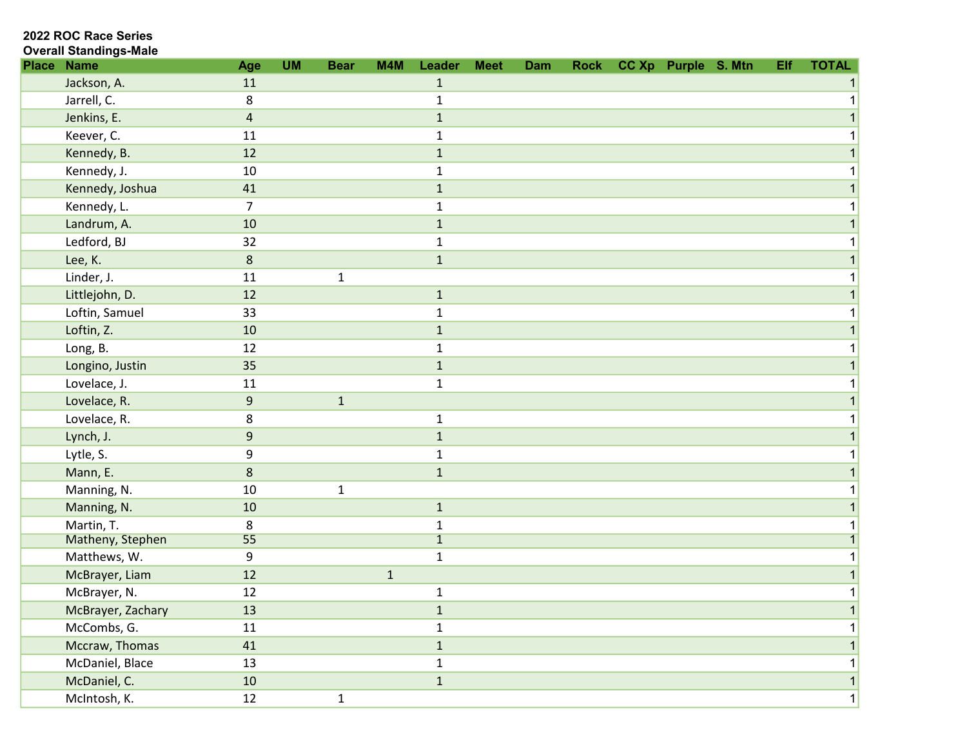2022 ROC Race Series

### Overall Standings-Male

| <b>Place Name</b> | Age              | <b>UM</b> | <b>Bear</b>  | M4M          | Leader         | <b>Meet</b> | Dam | <b>Rock</b> | CC Xp Purple S. Mtn |  | Elf | <b>TOTAL</b> |
|-------------------|------------------|-----------|--------------|--------------|----------------|-------------|-----|-------------|---------------------|--|-----|--------------|
| Jackson, A.       | 11               |           |              |              | $\mathbf{1}$   |             |     |             |                     |  |     |              |
| Jarrell, C.       | 8                |           |              |              | $\mathbf{1}$   |             |     |             |                     |  |     |              |
| Jenkins, E.       | $\overline{4}$   |           |              |              | $1\,$          |             |     |             |                     |  |     |              |
| Keever, C.        | 11               |           |              |              | 1              |             |     |             |                     |  |     |              |
| Kennedy, B.       | 12               |           |              |              | $\mathbf 1$    |             |     |             |                     |  |     |              |
| Kennedy, J.       | 10               |           |              |              | $\mathbf{1}$   |             |     |             |                     |  |     |              |
| Kennedy, Joshua   | 41               |           |              |              | $\mathbf{1}$   |             |     |             |                     |  |     |              |
| Kennedy, L.       | $\overline{7}$   |           |              |              | $\mathbf{1}$   |             |     |             |                     |  |     |              |
| Landrum, A.       | 10               |           |              |              | $\mathbf{1}$   |             |     |             |                     |  |     |              |
| Ledford, BJ       | 32               |           |              |              | $\mathbf{1}$   |             |     |             |                     |  |     |              |
| Lee, K.           | $\bf 8$          |           |              |              | $\mathbf{1}$   |             |     |             |                     |  |     |              |
| Linder, J.        | 11               |           | $\mathbf 1$  |              |                |             |     |             |                     |  |     |              |
| Littlejohn, D.    | 12               |           |              |              | $\mathbf{1}$   |             |     |             |                     |  |     |              |
| Loftin, Samuel    | 33               |           |              |              | $\mathbf{1}$   |             |     |             |                     |  |     |              |
| Loftin, Z.        | 10               |           |              |              | $1\,$          |             |     |             |                     |  |     |              |
| Long, B.          | 12               |           |              |              | $\mathbf{1}$   |             |     |             |                     |  |     |              |
| Longino, Justin   | 35               |           |              |              | $\mathbf 1$    |             |     |             |                     |  |     |              |
| Lovelace, J.      | 11               |           |              |              | $\mathbf{1}$   |             |     |             |                     |  |     |              |
| Lovelace, R.      | $\boldsymbol{9}$ |           | $\mathbf{1}$ |              |                |             |     |             |                     |  |     |              |
| Lovelace, R.      | 8                |           |              |              | $\mathbf{1}$   |             |     |             |                     |  |     |              |
| Lynch, J.         | $\boldsymbol{9}$ |           |              |              | $\mathbf{1}$   |             |     |             |                     |  |     |              |
| Lytle, S.         | 9                |           |              |              | $\mathbf{1}$   |             |     |             |                     |  |     |              |
| Mann, E.          | $\bf 8$          |           |              |              | $\mathbf{1}$   |             |     |             |                     |  |     |              |
| Manning, N.       | 10               |           | $\mathbf 1$  |              |                |             |     |             |                     |  |     |              |
| Manning, N.       | 10               |           |              |              | $1\,$          |             |     |             |                     |  |     |              |
| Martin, T.        | 8                |           |              |              | $\mathbf{1}$   |             |     |             |                     |  |     |              |
| Matheny, Stephen  | 55               |           |              |              | $\overline{1}$ |             |     |             |                     |  |     |              |
| Matthews, W.      | 9                |           |              |              | $\mathbf{1}$   |             |     |             |                     |  |     |              |
| McBrayer, Liam    | 12               |           |              | $\mathbf{1}$ |                |             |     |             |                     |  |     |              |
| McBrayer, N.      | 12               |           |              |              | $\mathbf 1$    |             |     |             |                     |  |     |              |
| McBrayer, Zachary | 13               |           |              |              | $\mathbf{1}$   |             |     |             |                     |  |     |              |
| McCombs, G.       | ${\bf 11}$       |           |              |              | $\mathbf{1}$   |             |     |             |                     |  |     |              |
| Mccraw, Thomas    | 41               |           |              |              | $1\,$          |             |     |             |                     |  |     |              |
| McDaniel, Blace   | 13               |           |              |              | $\mathbf{1}$   |             |     |             |                     |  |     |              |
| McDaniel, C.      | $10\,$           |           |              |              | $\mathbf 1$    |             |     |             |                     |  |     | $\mathbf{1}$ |
| McIntosh, K.      | 12               |           | $\mathbf{1}$ |              |                |             |     |             |                     |  |     | 1            |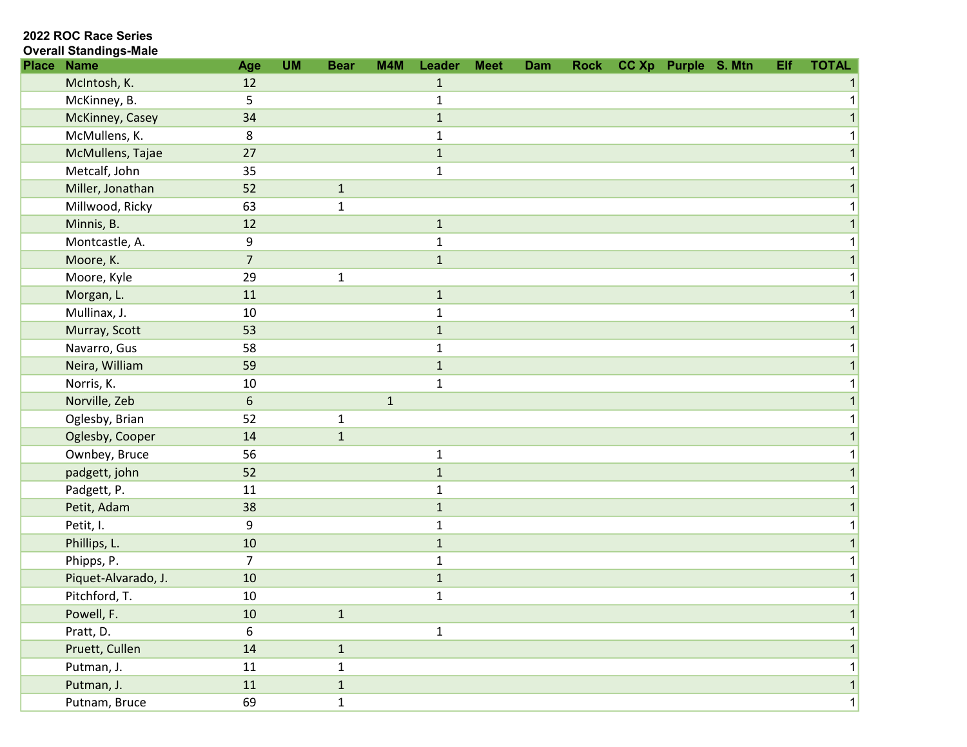| <b>Overall Standings-Male</b> |  |  |  |  |  |
|-------------------------------|--|--|--|--|--|

| <b>Place</b> | <b>Name</b>         | Age              | <b>UM</b> | <b>Bear</b>  | M4M          | Leader       | <b>Meet</b> | Dam | <b>Rock</b> | CC Xp Purple S. Mtn | Elf | <b>TOTAL</b> |
|--------------|---------------------|------------------|-----------|--------------|--------------|--------------|-------------|-----|-------------|---------------------|-----|--------------|
|              | McIntosh, K.        | 12               |           |              |              | $\mathbf{1}$ |             |     |             |                     |     |              |
|              | McKinney, B.        | 5                |           |              |              | $\mathbf{1}$ |             |     |             |                     |     |              |
|              | McKinney, Casey     | 34               |           |              |              | $\mathbf{1}$ |             |     |             |                     |     |              |
|              | McMullens, K.       | 8                |           |              |              | 1            |             |     |             |                     |     |              |
|              | McMullens, Tajae    | 27               |           |              |              | $\mathbf 1$  |             |     |             |                     |     |              |
|              | Metcalf, John       | 35               |           |              |              | $\mathbf{1}$ |             |     |             |                     |     |              |
|              | Miller, Jonathan    | 52               |           | $\mathbf{1}$ |              |              |             |     |             |                     |     |              |
|              | Millwood, Ricky     | 63               |           | $\mathbf{1}$ |              |              |             |     |             |                     |     |              |
|              | Minnis, B.          | 12               |           |              |              | $1\,$        |             |     |             |                     |     |              |
|              | Montcastle, A.      | 9                |           |              |              | $\mathbf{1}$ |             |     |             |                     |     |              |
|              | Moore, K.           | $\overline{7}$   |           |              |              | $\mathbf{1}$ |             |     |             |                     |     |              |
|              | Moore, Kyle         | 29               |           | $\mathbf 1$  |              |              |             |     |             |                     |     |              |
|              | Morgan, L.          | 11               |           |              |              | $\mathbf{1}$ |             |     |             |                     |     |              |
|              | Mullinax, J.        | 10               |           |              |              | $\mathbf{1}$ |             |     |             |                     |     |              |
|              | Murray, Scott       | 53               |           |              |              | $1\,$        |             |     |             |                     |     |              |
|              | Navarro, Gus        | 58               |           |              |              | $\mathbf{1}$ |             |     |             |                     |     |              |
|              | Neira, William      | 59               |           |              |              | $\mathbf{1}$ |             |     |             |                     |     |              |
|              | Norris, K.          | 10               |           |              |              | $\mathbf{1}$ |             |     |             |                     |     |              |
|              | Norville, Zeb       | $\boldsymbol{6}$ |           |              | $\mathbf{1}$ |              |             |     |             |                     |     |              |
|              | Oglesby, Brian      | 52               |           | 1            |              |              |             |     |             |                     |     |              |
|              | Oglesby, Cooper     | 14               |           | $1\,$        |              |              |             |     |             |                     |     |              |
|              | Ownbey, Bruce       | 56               |           |              |              | $\mathbf{1}$ |             |     |             |                     |     |              |
|              | padgett, john       | 52               |           |              |              | $\mathbf{1}$ |             |     |             |                     |     |              |
|              | Padgett, P.         | 11               |           |              |              | $\mathbf{1}$ |             |     |             |                     |     |              |
|              | Petit, Adam         | 38               |           |              |              | $\mathbf{1}$ |             |     |             |                     |     |              |
|              | Petit, I.           | $\boldsymbol{9}$ |           |              |              | $\mathbf{1}$ |             |     |             |                     |     |              |
|              | Phillips, L.        | $10\,$           |           |              |              | $1\,$        |             |     |             |                     |     |              |
|              | Phipps, P.          | $\overline{7}$   |           |              |              | $\mathbf{1}$ |             |     |             |                     |     |              |
|              | Piquet-Alvarado, J. | 10               |           |              |              | $\mathbf{1}$ |             |     |             |                     |     |              |
|              | Pitchford, T.       | 10               |           |              |              | $\mathbf{1}$ |             |     |             |                     |     |              |
|              | Powell, F.          | 10               |           | $1\,$        |              |              |             |     |             |                     |     |              |
|              | Pratt, D.           | 6                |           |              |              | $\mathbf{1}$ |             |     |             |                     |     |              |
|              | Pruett, Cullen      | 14               |           | $\mathbf{1}$ |              |              |             |     |             |                     |     |              |
|              | Putman, J.          | 11               |           | $\mathbf{1}$ |              |              |             |     |             |                     |     |              |
|              | Putman, J.          | 11               |           | $\mathbf{1}$ |              |              |             |     |             |                     |     | $\mathbf{1}$ |
|              | Putnam, Bruce       | 69               |           | $\mathbf{1}$ |              |              |             |     |             |                     |     | $\mathbf{1}$ |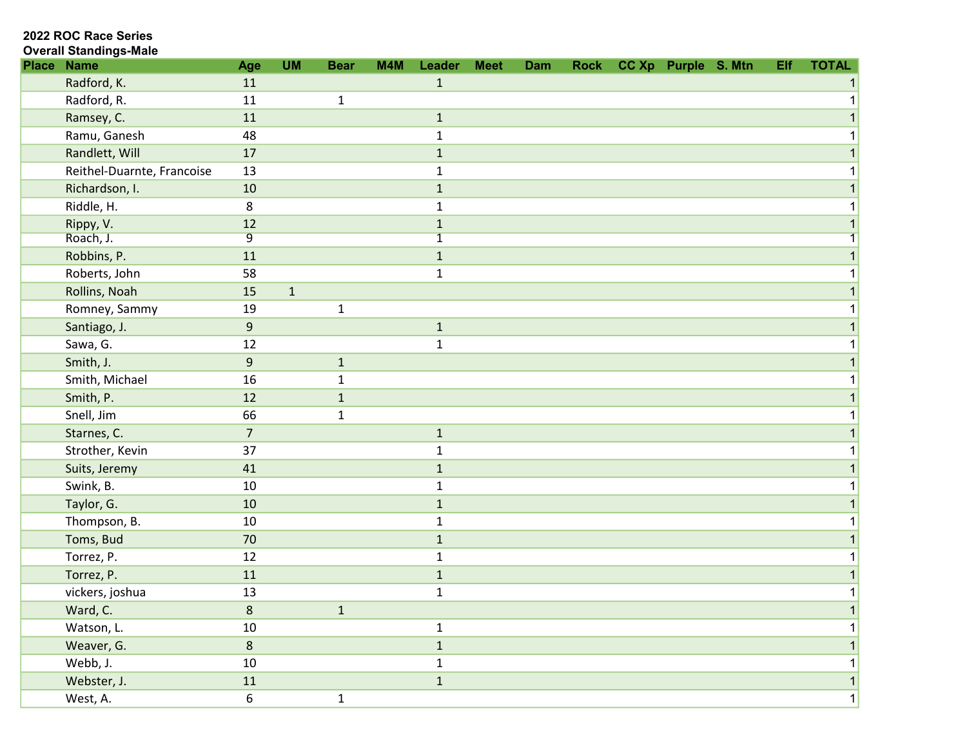#### Overall Standings-Male

| <b>Place Name</b>          | Age              | <b>UM</b>    | <b>Bear</b>  | M4M | Leader         | <b>Meet</b> | Dam | <b>Rock</b> | CC Xp Purple S. Mtn |  | Elf | <b>TOTAL</b> |
|----------------------------|------------------|--------------|--------------|-----|----------------|-------------|-----|-------------|---------------------|--|-----|--------------|
| Radford, K.                | 11               |              |              |     | $\mathbf{1}$   |             |     |             |                     |  |     |              |
| Radford, R.                | 11               |              | $\mathbf 1$  |     |                |             |     |             |                     |  |     |              |
| Ramsey, C.                 | 11               |              |              |     | $\mathbf{1}$   |             |     |             |                     |  |     |              |
| Ramu, Ganesh               | 48               |              |              |     | $\mathbf{1}$   |             |     |             |                     |  |     |              |
| Randlett, Will             | 17               |              |              |     | $\mathbf{1}$   |             |     |             |                     |  |     |              |
| Reithel-Duarnte, Francoise | 13               |              |              |     | 1              |             |     |             |                     |  |     |              |
| Richardson, I.             | 10               |              |              |     | $\mathbf{1}$   |             |     |             |                     |  |     |              |
| Riddle, H.                 | 8                |              |              |     | $\mathbf{1}$   |             |     |             |                     |  |     |              |
| Rippy, V.                  | 12               |              |              |     | $\mathbf{1}$   |             |     |             |                     |  |     |              |
| Roach, J.                  | $\overline{9}$   |              |              |     | $\overline{1}$ |             |     |             |                     |  |     |              |
| Robbins, P.                | 11               |              |              |     | $\mathbf{1}$   |             |     |             |                     |  |     |              |
| Roberts, John              | 58               |              |              |     | $\mathbf{1}$   |             |     |             |                     |  |     |              |
| Rollins, Noah              | 15               | $\mathbf{1}$ |              |     |                |             |     |             |                     |  |     |              |
| Romney, Sammy              | 19               |              | $\mathbf{1}$ |     |                |             |     |             |                     |  |     |              |
| Santiago, J.               | $\boldsymbol{9}$ |              |              |     | $\mathbf 1$    |             |     |             |                     |  |     |              |
| Sawa, G.                   | 12               |              |              |     | $\mathbf 1$    |             |     |             |                     |  |     |              |
| Smith, J.                  | 9                |              | $\mathbf{1}$ |     |                |             |     |             |                     |  |     |              |
| Smith, Michael             | 16               |              | 1            |     |                |             |     |             |                     |  |     |              |
| Smith, P.                  | 12               |              | $\mathbf{1}$ |     |                |             |     |             |                     |  |     |              |
| Snell, Jim                 | 66               |              | $\mathbf{1}$ |     |                |             |     |             |                     |  |     |              |
| Starnes, C.                | $\overline{7}$   |              |              |     | $\mathbf 1$    |             |     |             |                     |  |     |              |
| Strother, Kevin            | 37               |              |              |     | $\mathbf 1$    |             |     |             |                     |  |     |              |
| Suits, Jeremy              | 41               |              |              |     | $\mathbf 1$    |             |     |             |                     |  |     |              |
| Swink, B.                  | 10               |              |              |     | 1              |             |     |             |                     |  |     |              |
| Taylor, G.                 | 10               |              |              |     | $\mathbf{1}$   |             |     |             |                     |  |     |              |
| Thompson, B.               | 10               |              |              |     | $\mathbf{1}$   |             |     |             |                     |  |     |              |
| Toms, Bud                  | 70               |              |              |     | $\mathbf{1}$   |             |     |             |                     |  |     |              |
| Torrez, P.                 | 12               |              |              |     | $\mathbf 1$    |             |     |             |                     |  |     |              |
| Torrez, P.                 | 11               |              |              |     | $\mathbf{1}$   |             |     |             |                     |  |     |              |
| vickers, joshua            | 13               |              |              |     | $\mathbf 1$    |             |     |             |                     |  |     |              |
| Ward, C.                   | 8                |              | $\mathbf{1}$ |     |                |             |     |             |                     |  |     |              |
| Watson, L.                 | 10               |              |              |     | $\mathbf{1}$   |             |     |             |                     |  |     |              |
| Weaver, G.                 | $\,8\,$          |              |              |     | $\mathbf 1$    |             |     |             |                     |  |     |              |
| Webb, J.                   | $10\,$           |              |              |     | $\mathbf{1}$   |             |     |             |                     |  |     |              |
| Webster, J.                | 11               |              |              |     | $\mathbf 1$    |             |     |             |                     |  |     |              |
| West, A.                   | $\boldsymbol{6}$ |              | $\mathbf{1}$ |     |                |             |     |             |                     |  |     | 1            |